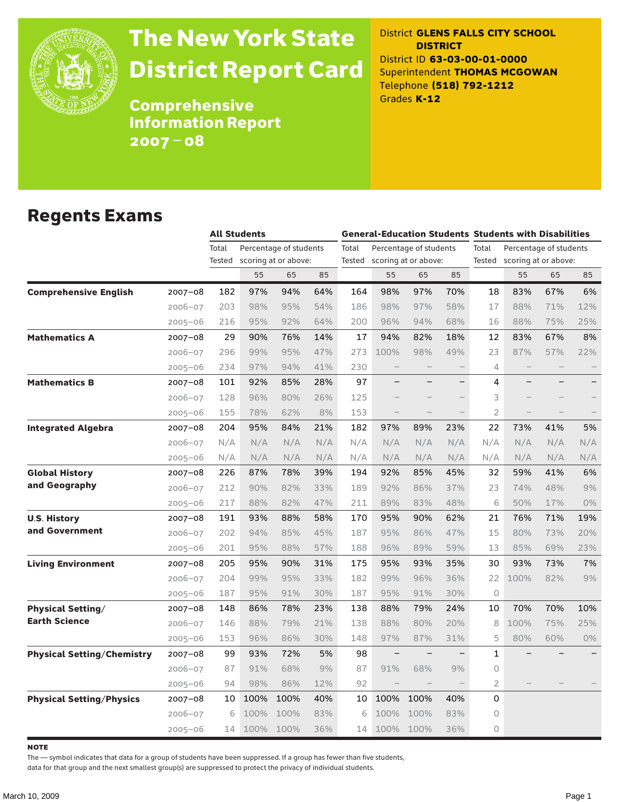

# The New York State District Report Card

District **GLENS FALLS CITY SCHOOL DISTRICT** District ID **63-03-00-01-0000** Superintendent **THOMAS MCGOWAN** Telephone **(518) 792-1212** Grades **K-12**

**Comprehensive** Information Report 2007–08

### Regents Exams

|                                   |             |        | <b>All Students</b> |                        |     |        |                          |                        |                          | <b>General-Education Students Students with Disabilities</b> |                        |     |     |
|-----------------------------------|-------------|--------|---------------------|------------------------|-----|--------|--------------------------|------------------------|--------------------------|--------------------------------------------------------------|------------------------|-----|-----|
|                                   |             | Total  |                     | Percentage of students |     | Total  |                          | Percentage of students |                          | Total                                                        | Percentage of students |     |     |
|                                   |             | Tested |                     | scoring at or above:   |     | Tested |                          | scoring at or above:   |                          | Tested                                                       | scoring at or above:   |     |     |
|                                   |             |        | 55                  | 65                     | 85  |        | 55                       | 65                     | 85                       |                                                              | 55                     | 65  | 85  |
| <b>Comprehensive English</b>      | $2007 - 08$ | 182    | 97%                 | 94%                    | 64% | 164    | 98%                      | 97%                    | 70%                      | 18                                                           | 83%                    | 67% | 6%  |
|                                   | $2006 - 07$ | 203    | 98%                 | 95%                    | 54% | 186    | 98%                      | 97%                    | 58%                      | 17                                                           | 88%                    | 71% | 12% |
|                                   | $2005 - 06$ | 216    | 95%                 | 92%                    | 64% | 200    | 96%                      | 94%                    | 68%                      | 16                                                           | 88%                    | 75% | 25% |
| <b>Mathematics A</b>              | $2007 - 08$ | 29     | 90%                 | 76%                    | 14% | 17     | 94%                      | 82%                    | 18%                      | 12                                                           | 83%                    | 67% | 8%  |
|                                   | $2006 - 07$ | 296    | 99%                 | 95%                    | 47% | 273    | 100%                     | 98%                    | 49%                      | 23                                                           | 87%                    | 57% | 22% |
|                                   | $2005 - 06$ | 234    | 97%                 | 94%                    | 41% | 230    |                          |                        |                          | 4                                                            |                        |     |     |
| <b>Mathematics B</b>              | $2007 - 08$ | 101    | 92%                 | 85%                    | 28% | 97     |                          |                        | $\overline{\phantom{0}}$ | 4                                                            |                        |     |     |
|                                   | $2006 - 07$ | 128    | 96%                 | 80%                    | 26% | 125    |                          |                        |                          | 3                                                            |                        |     |     |
|                                   | $2005 - 06$ | 155    | 78%                 | 62%                    | 8%  | 153    | $\overline{\phantom{0}}$ |                        |                          | $\overline{2}$                                               |                        |     |     |
| <b>Integrated Algebra</b>         | 2007-08     | 204    | 95%                 | 84%                    | 21% | 182    | 97%                      | 89%                    | 23%                      | 22                                                           | 73%                    | 41% | 5%  |
|                                   | $2006 - 07$ | N/A    | N/A                 | N/A                    | N/A | N/A    | N/A                      | N/A                    | N/A                      | N/A                                                          | N/A                    | N/A | N/A |
|                                   | $2005 - 06$ | N/A    | N/A                 | N/A                    | N/A | N/A    | N/A                      | N/A                    | N/A                      | N/A                                                          | N/A                    | N/A | N/A |
| <b>Global History</b>             | $2007 - 08$ | 226    | 87%                 | 78%                    | 39% | 194    | 92%                      | 85%                    | 45%                      | 32                                                           | 59%                    | 41% | 6%  |
| and Geography                     | $2006 - 07$ | 212    | 90%                 | 82%                    | 33% | 189    | 92%                      | 86%                    | 37%                      | 23                                                           | 74%                    | 48% | 9%  |
|                                   | $2005 - 06$ | 217    | 88%                 | 82%                    | 47% | 211    | 89%                      | 83%                    | 48%                      | 6                                                            | 50%                    | 17% | 0%  |
| <b>U.S. History</b>               | 2007-08     | 191    | 93%                 | 88%                    | 58% | 170    | 95%                      | 90%                    | 62%                      | 21                                                           | 76%                    | 71% | 19% |
| and Government                    | $2006 - 07$ | 202    | 94%                 | 85%                    | 45% | 187    | 95%                      | 86%                    | 47%                      | 15                                                           | 80%                    | 73% | 20% |
|                                   | $2005 - 06$ | 201    | 95%                 | 88%                    | 57% | 188    | 96%                      | 89%                    | 59%                      | 13                                                           | 85%                    | 69% | 23% |
| <b>Living Environment</b>         | 2007-08     | 205    | 95%                 | 90%                    | 31% | 175    | 95%                      | 93%                    | 35%                      | 30                                                           | 93%                    | 73% | 7%  |
|                                   | $2006 - 07$ | 204    | 99%                 | 95%                    | 33% | 182    | 99%                      | 96%                    | 36%                      | 22                                                           | 100%                   | 82% | 9%  |
|                                   | $2005 - 06$ | 187    | 95%                 | 91%                    | 30% | 187    | 95%                      | 91%                    | 30%                      | $\circ$                                                      |                        |     |     |
| <b>Physical Setting/</b>          | 2007-08     | 148    | 86%                 | 78%                    | 23% | 138    | 88%                      | 79%                    | 24%                      | 10                                                           | 70%                    | 70% | 10% |
| <b>Earth Science</b>              | $2006 - 07$ | 146    | 88%                 | 79%                    | 21% | 138    | 88%                      | 80%                    | 20%                      | 8                                                            | 100%                   | 75% | 25% |
|                                   | $2005 - 06$ | 153    | 96%                 | 86%                    | 30% | 148    | 97%                      | 87%                    | 31%                      | 5                                                            | 80%                    | 60% | 0%  |
| <b>Physical Setting/Chemistry</b> | $2007 - 08$ | 99     | 93%                 | 72%                    | 5%  | 98     |                          |                        |                          | 1                                                            |                        |     |     |
|                                   | $2006 - 07$ | 87     | 91%                 | 68%                    | 9%  | 87     | 91%                      | 68%                    | 9%                       | $\circ$                                                      |                        |     |     |
|                                   | $2005 - 06$ | 94     | 98%                 | 86%                    | 12% | 92     |                          |                        |                          | 2                                                            |                        |     |     |
| <b>Physical Setting/Physics</b>   | $2007 - 08$ | 10     | 100%                | 100%                   | 40% | 10     | 100%                     | 100%                   | 40%                      | 0                                                            |                        |     |     |
|                                   | $2006 - 07$ | 6      | 100%                | 100%                   | 83% | 6      | 100%                     | 100%                   | 83%                      | 0                                                            |                        |     |     |
|                                   | $2005 - 06$ | 14     | 100%                | 100%                   | 36% | 14     | 100%                     | 100%                   | 36%                      | 0                                                            |                        |     |     |

**NOTE** 

The — symbol indicates that data for a group of students have been suppressed. If a group has fewer than five students,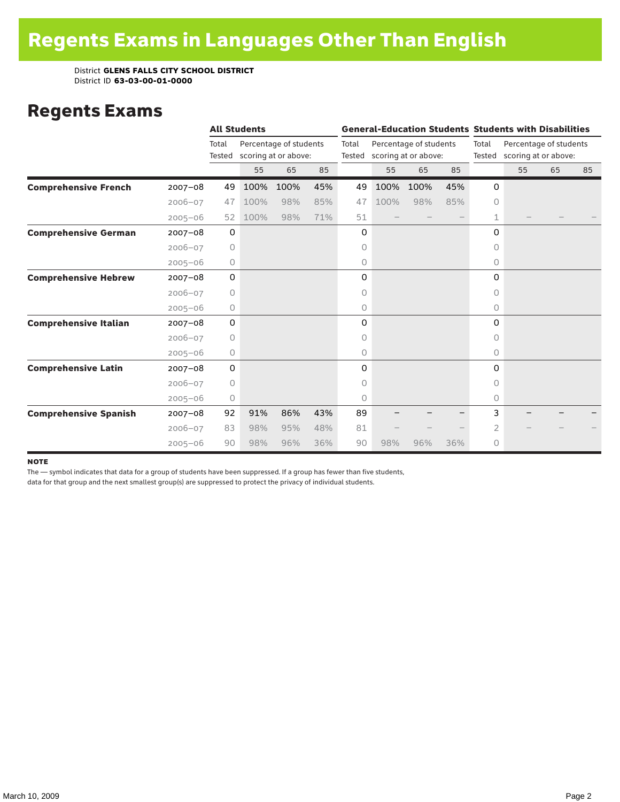### Regents Exams

|                              |             |                 | <b>All Students</b> |                                                |     |                 | <b>General-Education Students Students with Disabilities</b> |      |     |                 |                                                |    |    |  |
|------------------------------|-------------|-----------------|---------------------|------------------------------------------------|-----|-----------------|--------------------------------------------------------------|------|-----|-----------------|------------------------------------------------|----|----|--|
|                              |             | Total<br>Tested |                     | Percentage of students<br>scoring at or above: |     | Total<br>Tested | Percentage of students<br>scoring at or above:               |      |     | Total<br>Tested | Percentage of students<br>scoring at or above: |    |    |  |
|                              |             |                 | 55                  | 65                                             | 85  |                 | 55                                                           | 65   | 85  |                 | 55                                             | 65 | 85 |  |
| <b>Comprehensive French</b>  | $2007 - 08$ | 49              | 100%                | 100%                                           | 45% | 49              | 100%                                                         | 100% | 45% | 0               |                                                |    |    |  |
|                              | $2006 - 07$ | 47              | 100%                | 98%                                            | 85% | 47              | 100%                                                         | 98%  | 85% | $\circ$         |                                                |    |    |  |
|                              | $2005 - 06$ | 52              | 100%                | 98%                                            | 71% | 51              |                                                              |      |     | 1               |                                                |    |    |  |
| <b>Comprehensive German</b>  | $2007 - 08$ | 0               |                     |                                                |     | 0               |                                                              |      |     | 0               |                                                |    |    |  |
|                              | $2006 - 07$ | $\circ$         |                     |                                                |     | 0               |                                                              |      |     | $\circ$         |                                                |    |    |  |
|                              | $2005 - 06$ | $\circ$         |                     |                                                |     | 0               |                                                              |      |     | 0               |                                                |    |    |  |
| <b>Comprehensive Hebrew</b>  | $2007 - 08$ | 0               |                     |                                                |     | 0               |                                                              |      |     | 0               |                                                |    |    |  |
|                              | $2006 - 07$ | $\circ$         |                     |                                                |     | 0               |                                                              |      |     | $\Omega$        |                                                |    |    |  |
|                              | $2005 - 06$ | 0               |                     |                                                |     | 0               |                                                              |      |     | 0               |                                                |    |    |  |
| <b>Comprehensive Italian</b> | $2007 - 08$ | 0               |                     |                                                |     | 0               |                                                              |      |     | 0               |                                                |    |    |  |
|                              | $2006 - 07$ | 0               |                     |                                                |     | 0               |                                                              |      |     | 0               |                                                |    |    |  |
|                              | $2005 - 06$ | 0               |                     |                                                |     | 0               |                                                              |      |     | 0               |                                                |    |    |  |
| <b>Comprehensive Latin</b>   | $2007 - 08$ | 0               |                     |                                                |     | 0               |                                                              |      |     | 0               |                                                |    |    |  |
|                              | $2006 - 07$ | $\circ$         |                     |                                                |     | 0               |                                                              |      |     | 0               |                                                |    |    |  |
|                              | $2005 - 06$ | 0               |                     |                                                |     | 0               |                                                              |      |     | $\circ$         |                                                |    |    |  |
| <b>Comprehensive Spanish</b> | $2007 - 08$ | 92              | 91%                 | 86%                                            | 43% | 89              |                                                              |      |     | 3               |                                                |    |    |  |
|                              | $2006 - 07$ | 83              | 98%                 | 95%                                            | 48% | 81              |                                                              |      |     | 2               |                                                |    |    |  |
|                              | $2005 - 06$ | 90              | 98%                 | 96%                                            | 36% | 90              | 98%                                                          | 96%  | 36% | 0               |                                                |    |    |  |

#### note

The — symbol indicates that data for a group of students have been suppressed. If a group has fewer than five students,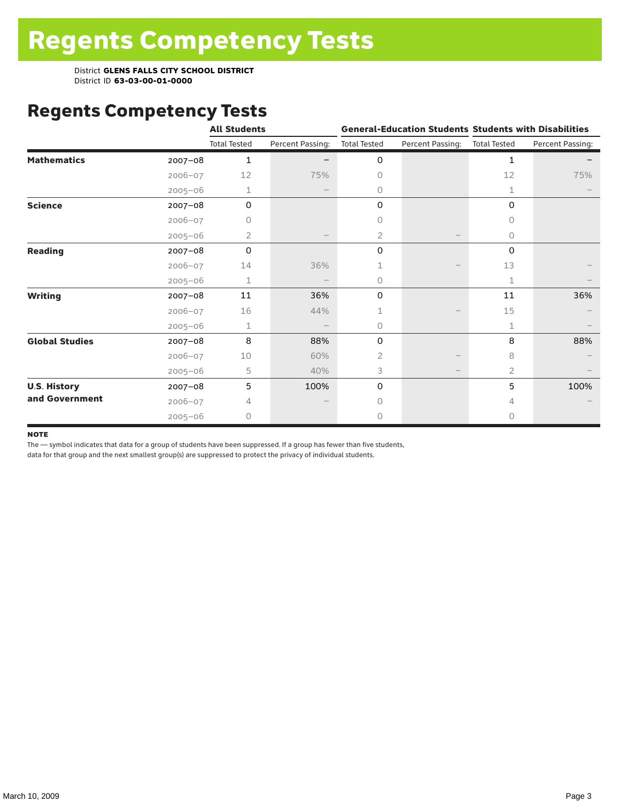# Regents Competency Tests

|                       |             | <b>All Students</b> |                   |                     |                  | <b>General-Education Students Students with Disabilities</b> |                  |  |
|-----------------------|-------------|---------------------|-------------------|---------------------|------------------|--------------------------------------------------------------|------------------|--|
|                       |             | <b>Total Tested</b> | Percent Passing:  | <b>Total Tested</b> | Percent Passing: | <b>Total Tested</b>                                          | Percent Passing: |  |
| <b>Mathematics</b>    | $2007 - 08$ | $\mathbf{1}$        |                   | 0                   |                  | $\mathbf{1}$                                                 |                  |  |
|                       | $2006 - 07$ | 12                  | 75%               | 0                   |                  | 12                                                           | 75%              |  |
|                       | $2005 - 06$ | 1                   | $\qquad \qquad -$ | 0                   |                  | 1                                                            |                  |  |
| <b>Science</b>        | $2007 - 08$ | $\mathbf 0$         |                   | 0                   |                  | 0                                                            |                  |  |
|                       | $2006 - 07$ | 0                   |                   | 0                   |                  | 0                                                            |                  |  |
|                       | $2005 - 06$ | 2                   |                   | $\overline{2}$      |                  | 0                                                            |                  |  |
| <b>Reading</b>        | 2007-08     | $\Omega$            |                   | 0                   |                  | 0                                                            |                  |  |
|                       | $2006 - 07$ | 14                  | 36%               |                     |                  | 13                                                           |                  |  |
|                       | $2005 - 06$ | $\mathbf 1$         |                   | 0                   |                  | 1                                                            |                  |  |
| <b>Writing</b>        | 2007-08     | 11                  | 36%               | 0                   |                  | 11                                                           | 36%              |  |
|                       | $2006 - 07$ | 16                  | 44%               | 1                   |                  | 15                                                           |                  |  |
|                       | $2005 - 06$ | 1                   |                   | 0                   |                  | 1                                                            |                  |  |
| <b>Global Studies</b> | $2007 - 08$ | 8                   | 88%               | 0                   |                  | 8                                                            | 88%              |  |
|                       | $2006 - 07$ | 10                  | 60%               | 2                   |                  | 8                                                            |                  |  |
|                       | $2005 - 06$ | 5                   | 40%               | 3                   |                  | 2                                                            |                  |  |
| <b>U.S. History</b>   | 2007-08     | 5                   | 100%              | 0                   |                  | 5                                                            | 100%             |  |
| and Government        | $2006 - 07$ | 4                   |                   | $\Omega$            |                  | 4                                                            |                  |  |
|                       | $2005 - 06$ | 0                   |                   | 0                   |                  | 0                                                            |                  |  |

#### **NOTE**

The — symbol indicates that data for a group of students have been suppressed. If a group has fewer than five students,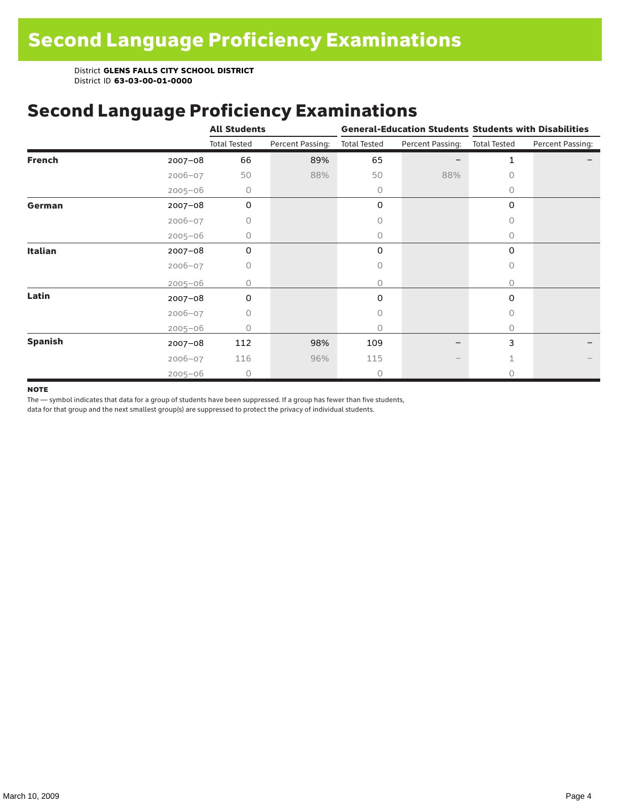### Second Language Proficiency Examinations

|                |             | <b>All Students</b> |                  |                     |                  | <b>General-Education Students Students with Disabilities</b> |                  |  |
|----------------|-------------|---------------------|------------------|---------------------|------------------|--------------------------------------------------------------|------------------|--|
|                |             | <b>Total Tested</b> | Percent Passing: | <b>Total Tested</b> | Percent Passing: | <b>Total Tested</b>                                          | Percent Passing: |  |
| <b>French</b>  | $2007 - 08$ | 66                  | 89%              | 65                  |                  | 1                                                            |                  |  |
|                | $2006 - 07$ | 50                  | 88%              | 50                  | 88%              | 0                                                            |                  |  |
|                | $2005 - 06$ | 0                   |                  | 0                   |                  | 0                                                            |                  |  |
| German         | $2007 - 08$ | 0                   |                  | 0                   |                  | $\mathbf 0$                                                  |                  |  |
|                | $2006 - 07$ | 0                   |                  | 0                   |                  | $\bigcap$                                                    |                  |  |
|                | $2005 - 06$ | 0                   |                  | 0                   |                  | 0                                                            |                  |  |
| Italian        | $2007 - 08$ | 0                   |                  | 0                   |                  | 0                                                            |                  |  |
|                | $2006 - 07$ | 0                   |                  | 0                   |                  | 0                                                            |                  |  |
|                | $2005 - 06$ | O                   |                  | 0                   |                  | 0                                                            |                  |  |
| Latin          | $2007 - 08$ | $\Omega$            |                  | $\Omega$            |                  | $\Omega$                                                     |                  |  |
|                | $2006 - 07$ | 0                   |                  | 0                   |                  | 0                                                            |                  |  |
|                | $2005 - 06$ | Ω                   |                  | 0                   |                  | 0                                                            |                  |  |
| <b>Spanish</b> | $2007 - 08$ | 112                 | 98%              | 109                 |                  | 3                                                            |                  |  |
|                | $2006 - 07$ | 116                 | 96%              | 115                 |                  |                                                              |                  |  |
|                | $2005 - 06$ | $\circ$             |                  | 0                   |                  | Ω                                                            |                  |  |

#### **NOTE**

The — symbol indicates that data for a group of students have been suppressed. If a group has fewer than five students,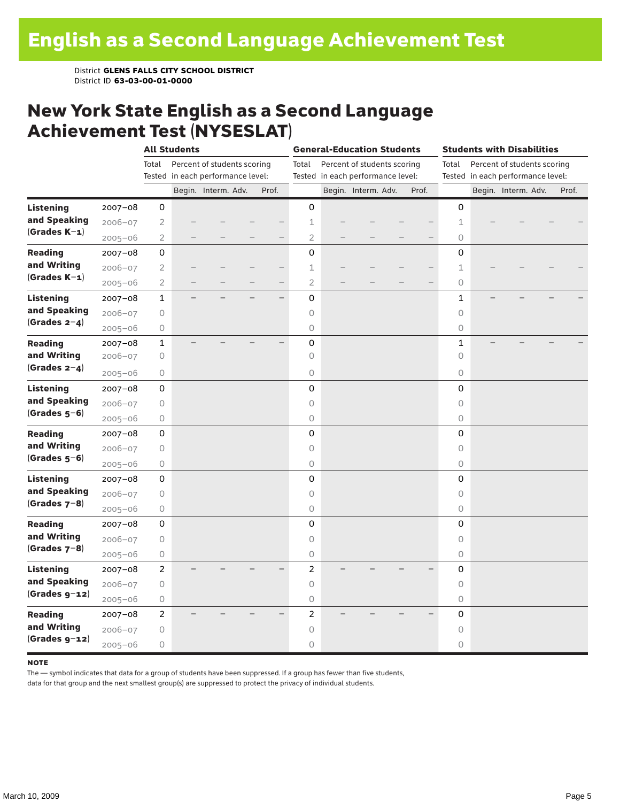#### New York State English as a Second Language Achievement Test (NYSESLAT)

|                  |             |                | <b>All Students</b>               |                             |  | <b>General-Education Students</b> |                     |                                   |                             | <b>Students with Disabilities</b> |       |                     |  |                                   |  |       |
|------------------|-------------|----------------|-----------------------------------|-----------------------------|--|-----------------------------------|---------------------|-----------------------------------|-----------------------------|-----------------------------------|-------|---------------------|--|-----------------------------------|--|-------|
|                  |             | Total          |                                   | Percent of students scoring |  |                                   | Total               |                                   | Percent of students scoring |                                   |       | Total               |  | Percent of students scoring       |  |       |
|                  |             |                | Tested in each performance level: |                             |  |                                   |                     | Tested in each performance level: |                             |                                   |       |                     |  | Tested in each performance level: |  |       |
|                  |             |                |                                   | Begin. Interm. Adv.         |  | Prof.                             |                     |                                   | Begin. Interm. Adv.         |                                   | Prof. |                     |  | Begin. Interm. Adv.               |  | Prof. |
| <b>Listening</b> | $2007 - 08$ | 0              |                                   |                             |  |                                   | 0                   |                                   |                             |                                   |       | 0                   |  |                                   |  |       |
| and Speaking     | $2006 - 07$ | $\mathbf{2}$   |                                   |                             |  |                                   | $1\,$               |                                   |                             |                                   |       | $\mathbf 1$         |  |                                   |  |       |
| $(Grades K-1)$   | $2005 - 06$ | $\overline{2}$ |                                   |                             |  |                                   | $\overline{2}$      |                                   |                             |                                   |       | $\circ$             |  |                                   |  |       |
| <b>Reading</b>   | 2007-08     | 0              |                                   |                             |  |                                   | $\overline{0}$      |                                   |                             |                                   |       | 0                   |  |                                   |  |       |
| and Writing      | $2006 - 07$ | $\overline{2}$ |                                   |                             |  |                                   | 1                   |                                   |                             |                                   |       | 1                   |  |                                   |  |       |
| $(Grades K-1)$   | $2005 - 06$ | $\overline{2}$ |                                   |                             |  |                                   | $\overline{2}$      |                                   |                             |                                   |       | 0                   |  |                                   |  |       |
| <b>Listening</b> | $2007 - 08$ | 1              |                                   |                             |  | $\overline{\phantom{0}}$          | 0                   |                                   |                             |                                   |       | 1                   |  |                                   |  |       |
| and Speaking     | $2006 - 07$ | 0              |                                   |                             |  |                                   | $\circ$             |                                   |                             |                                   |       | 0                   |  |                                   |  |       |
| (Grades $2-4$ )  | $2005 - 06$ | 0              |                                   |                             |  |                                   | $\circ$             |                                   |                             |                                   |       | 0                   |  |                                   |  |       |
| <b>Reading</b>   | $2007 - 08$ | $\mathbf 1$    |                                   |                             |  |                                   | $\mathsf 0$         |                                   |                             |                                   |       | $\mathbf 1$         |  |                                   |  |       |
| and Writing      | $2006 - 07$ | 0              |                                   |                             |  |                                   | $\circlearrowright$ |                                   |                             |                                   |       | $\circ$             |  |                                   |  |       |
| (Grades $2-4$ )  | $2005 - 06$ | 0              |                                   |                             |  |                                   | $\circlearrowright$ |                                   |                             |                                   |       | 0                   |  |                                   |  |       |
| <b>Listening</b> | $2007 - 08$ | 0              |                                   |                             |  |                                   | 0                   |                                   |                             |                                   |       | 0                   |  |                                   |  |       |
| and Speaking     | $2006 - 07$ | 0              |                                   |                             |  |                                   | $\circ$             |                                   |                             |                                   |       | $\circ$             |  |                                   |  |       |
| $(Grades 5-6)$   | $2005 - 06$ | 0              |                                   |                             |  |                                   | $\mathsf O$         |                                   |                             |                                   |       | 0                   |  |                                   |  |       |
| <b>Reading</b>   | 2007-08     | $\mathsf 0$    |                                   |                             |  |                                   | 0                   |                                   |                             |                                   |       | 0                   |  |                                   |  |       |
| and Writing      | $2006 - 07$ | 0              |                                   |                             |  |                                   | $\circ$             |                                   |                             |                                   |       | $\circlearrowright$ |  |                                   |  |       |
| $(Grades 5-6)$   | $2005 - 06$ | 0              |                                   |                             |  |                                   | $\mathsf O$         |                                   |                             |                                   |       | 0                   |  |                                   |  |       |
| <b>Listening</b> | $2007 - 08$ | 0              |                                   |                             |  |                                   | 0                   |                                   |                             |                                   |       | 0                   |  |                                   |  |       |
| and Speaking     | $2006 - 07$ | 0              |                                   |                             |  |                                   | $\circ$             |                                   |                             |                                   |       | $\circ$             |  |                                   |  |       |
| (Grades $7-8$ )  | $2005 - 06$ | 0              |                                   |                             |  |                                   | $\circ$             |                                   |                             |                                   |       | 0                   |  |                                   |  |       |
| <b>Reading</b>   | $2007 - 08$ | 0              |                                   |                             |  |                                   | $\mathbf 0$         |                                   |                             |                                   |       | 0                   |  |                                   |  |       |
| and Writing      | $2006 - 07$ | 0              |                                   |                             |  |                                   | $\circ$             |                                   |                             |                                   |       | 0                   |  |                                   |  |       |
| $(Grades 7-8)$   | $2005 - 06$ | 0              |                                   |                             |  |                                   | $\mathsf O$         |                                   |                             |                                   |       | 0                   |  |                                   |  |       |
| <b>Listening</b> | $2007 - 08$ | $\overline{c}$ |                                   |                             |  |                                   | $\overline{c}$      |                                   |                             |                                   |       | 0                   |  |                                   |  |       |
| and Speaking     | $2006 - 07$ | 0              |                                   |                             |  |                                   | $\circ$             |                                   |                             |                                   |       | $\circ$             |  |                                   |  |       |
| $(Grades g-12)$  | $2005 - 06$ | 0              |                                   |                             |  |                                   | $\circ$             |                                   |                             |                                   |       | $\circ$             |  |                                   |  |       |
| <b>Reading</b>   | $2007 - 08$ | 2              |                                   |                             |  |                                   | 2                   |                                   |                             |                                   |       | 0                   |  |                                   |  |       |
| and Writing      | $2006 - 07$ | 0              |                                   |                             |  |                                   | $\circ$             |                                   |                             |                                   |       | 0                   |  |                                   |  |       |
| $(Grades g-12)$  | $2005 - 06$ | 0              |                                   |                             |  |                                   | $\circ$             |                                   |                             |                                   |       | 0                   |  |                                   |  |       |

#### **NOTE**

The — symbol indicates that data for a group of students have been suppressed. If a group has fewer than five students,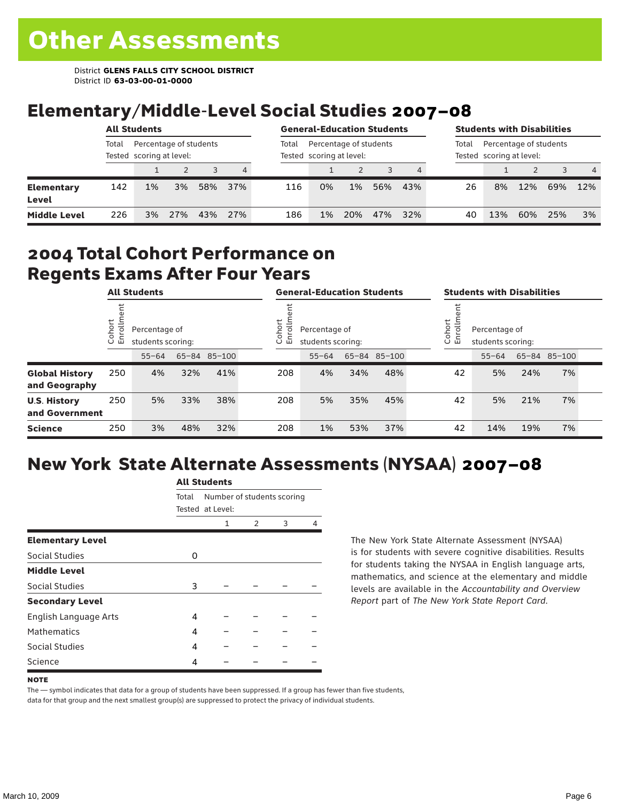### Elementary/Middle-Level Social Studies 2007–08

|                            |       | <b>All Students</b>                                |     |     |     |       | <b>General-Education Students</b>                  |     |     |     |       | <b>Students with Disabilities</b>                  |     |     |     |
|----------------------------|-------|----------------------------------------------------|-----|-----|-----|-------|----------------------------------------------------|-----|-----|-----|-------|----------------------------------------------------|-----|-----|-----|
|                            | Total | Percentage of students<br>Tested scoring at level: |     |     |     | Total | Percentage of students<br>Tested scoring at level: |     |     |     | Total | Percentage of students<br>Tested scoring at level: |     |     |     |
|                            |       |                                                    |     |     | 4   |       |                                                    |     |     | 4   |       |                                                    | 2   | 3   | 4   |
| <b>Elementary</b><br>Level | 142   | 1%                                                 | 3%  | 58% | 37% | 116   | 0%                                                 | 1%  | 56% | 43% | 26    | 8%                                                 | 12% | 69% | 12% |
| <b>Middle Level</b>        | 226   | 3%                                                 | 27% | 43% | 27% | 186   | 1%                                                 | 20% | 47% | 32% | 40    | 13%                                                | 60% | 25% | 3%  |

#### 2004 Total Cohort Performance on Regents Exams After Four Years

| <b>All Students</b>                    |                        |           | <b>General-Education Students</b>  |              |  |                                                        | <b>Students with Disabilities</b> |     |              |  |                                                        |           |     |              |  |
|----------------------------------------|------------------------|-----------|------------------------------------|--------------|--|--------------------------------------------------------|-----------------------------------|-----|--------------|--|--------------------------------------------------------|-----------|-----|--------------|--|
|                                        | Cohort<br>$\circ$<br>屲 |           | Percentage of<br>students scoring: |              |  | Cohort<br>Percentage of<br>ō<br>멷<br>students scoring: |                                   |     |              |  | Cohort<br>Percentage of<br>9<br>문<br>students scoring: |           |     |              |  |
|                                        |                        | $55 - 64$ |                                    | 65-84 85-100 |  |                                                        | $55 - 64$                         |     | 65-84 85-100 |  |                                                        | $55 - 64$ |     | 65-84 85-100 |  |
| <b>Global History</b><br>and Geography | 250                    | 4%        | 32%                                | 41%          |  | 208                                                    | 4%                                | 34% | 48%          |  | 42                                                     | 5%        | 24% | 7%           |  |
| <b>U.S. History</b><br>and Government  | 250                    | 5%        | 33%                                | 38%          |  | 208                                                    | 5%                                | 35% | 45%          |  | 42                                                     | 5%        | 21% | 7%           |  |
| <b>Science</b>                         | 250                    | 3%        | 48%                                | 32%          |  | 208                                                    | 1%                                | 53% | 37%          |  | 42                                                     | 14%       | 19% | 7%           |  |

## New York State Alternate Assessments (NYSAA) 2007–08

|                         | AIL SLUUTIILS |                            |   |   |  |  |  |  |
|-------------------------|---------------|----------------------------|---|---|--|--|--|--|
|                         | Total         | Number of students scoring |   |   |  |  |  |  |
|                         |               | Tested at Level:           |   |   |  |  |  |  |
|                         |               | 1                          | 2 | 3 |  |  |  |  |
| <b>Elementary Level</b> |               |                            |   |   |  |  |  |  |
| <b>Social Studies</b>   | O             |                            |   |   |  |  |  |  |
| <b>Middle Level</b>     |               |                            |   |   |  |  |  |  |
| Social Studies          | 3             |                            |   |   |  |  |  |  |
| <b>Secondary Level</b>  |               |                            |   |   |  |  |  |  |
| English Language Arts   | 4             |                            |   |   |  |  |  |  |
| <b>Mathematics</b>      | 4             |                            |   |   |  |  |  |  |
| Social Studies          | 4             |                            |   |   |  |  |  |  |
| Science                 | 4             |                            |   |   |  |  |  |  |

All C<sub>tude</sub>

The New York State Alternate Assessment (NYSAA) is for students with severe cognitive disabilities. Results for students taking the NYSAA in English language arts, mathematics, and science at the elementary and middle levels are available in the *Accountability and Overview Report* part of *The New York State Report Card*.

#### **NOTE**

The — symbol indicates that data for a group of students have been suppressed. If a group has fewer than five students, data for that group and the next smallest group(s) are suppressed to protect the privacy of individual students.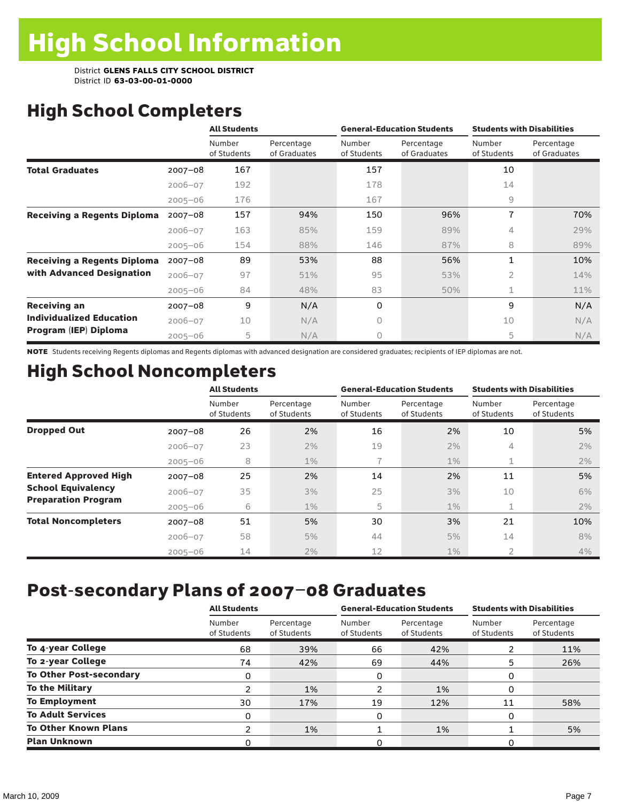# High School Completers

|                                    |             | <b>All Students</b>   |                            |                       | <b>General-Education Students</b> | <b>Students with Disabilities</b> |                            |  |
|------------------------------------|-------------|-----------------------|----------------------------|-----------------------|-----------------------------------|-----------------------------------|----------------------------|--|
|                                    |             | Number<br>of Students | Percentage<br>of Graduates | Number<br>of Students | Percentage<br>of Graduates        | Number<br>of Students             | Percentage<br>of Graduates |  |
| <b>Total Graduates</b>             | $2007 - 08$ | 167                   |                            | 157                   |                                   | 10                                |                            |  |
|                                    | $2006 - 07$ | 192                   |                            | 178                   |                                   | 14                                |                            |  |
|                                    | $2005 - 06$ | 176                   |                            | 167                   |                                   | 9                                 |                            |  |
| <b>Receiving a Regents Diploma</b> | $2007 - 08$ | 157                   | 94%                        | 150                   | 96%                               | 7                                 | 70%                        |  |
|                                    | $2006 - 07$ | 163                   | 85%                        | 159                   | 89%                               | 4                                 | 29%                        |  |
|                                    | $2005 - 06$ | 154                   | 88%                        | 146                   | 87%                               | 8                                 | 89%                        |  |
| <b>Receiving a Regents Diploma</b> | $2007 - 08$ | 89                    | 53%                        | 88                    | 56%                               | $\mathbf{1}$                      | 10%                        |  |
| with Advanced Designation          | $2006 - 07$ | 97                    | 51%                        | 95                    | 53%                               | 2                                 | 14%                        |  |
|                                    | $2005 - 06$ | 84                    | 48%                        | 83                    | 50%                               | 1                                 | 11%                        |  |
| <b>Receiving an</b>                | $2007 - 08$ | 9                     | N/A                        | 0                     |                                   | 9                                 | N/A                        |  |
| <b>Individualized Education</b>    | $2006 - 07$ | 10                    | N/A                        | 0                     |                                   | 10                                | N/A                        |  |
| Program (IEP) Diploma              | $2005 - 06$ | 5                     | N/A                        | 0                     |                                   | 5                                 | N/A                        |  |

NOTE Students receiving Regents diplomas and Regents diplomas with advanced designation are considered graduates; recipients of IEP diplomas are not.

# High School Noncompleters

|                              |             | <b>All Students</b>   |                           |                       | <b>General-Education Students</b> | <b>Students with Disabilities</b> |                           |  |
|------------------------------|-------------|-----------------------|---------------------------|-----------------------|-----------------------------------|-----------------------------------|---------------------------|--|
|                              |             | Number<br>of Students | Percentage<br>of Students | Number<br>of Students | Percentage<br>of Students         | Number<br>of Students             | Percentage<br>of Students |  |
| <b>Dropped Out</b>           | $2007 - 08$ | 26                    | 2%                        | 16                    | 2%                                | 10                                | 5%                        |  |
|                              | $2006 - 07$ | 23                    | 2%                        | 19                    | 2%                                | 4                                 | 2%                        |  |
|                              | $2005 - 06$ | 8                     | $1\%$                     | 7                     | $1\%$                             | 1                                 | 2%                        |  |
| <b>Entered Approved High</b> | $2007 - 08$ | 25                    | 2%                        | 14                    | 2%                                | 11                                | 5%                        |  |
| <b>School Equivalency</b>    | $2006 - 07$ | 35                    | 3%                        | 25                    | 3%                                | 10                                | 6%                        |  |
| <b>Preparation Program</b>   | $2005 - 06$ | 6                     | $1\%$                     | 5                     | $1\%$                             | $\mathbf 1$                       | 2%                        |  |
| <b>Total Noncompleters</b>   | $2007 - 08$ | 51                    | 5%                        | 30                    | 3%                                | 21                                | 10%                       |  |
|                              | $2006 - 07$ | 58                    | 5%                        | 44                    | 5%                                | 14                                | 8%                        |  |
|                              | $2005 - 06$ | 14                    | 2%                        | 12                    | 1%                                | $\overline{2}$                    | 4%                        |  |

# Post-secondary Plans of 2007–08 Graduates

|                                | <b>All Students</b>   |                           |                       | <b>General-Education Students</b> | <b>Students with Disabilities</b> |                           |  |
|--------------------------------|-----------------------|---------------------------|-----------------------|-----------------------------------|-----------------------------------|---------------------------|--|
|                                | Number<br>of Students | Percentage<br>of Students | Number<br>of Students | Percentage<br>of Students         | Number<br>of Students             | Percentage<br>of Students |  |
| To 4-year College              | 68                    | 39%                       | 66                    | 42%                               |                                   | 11%                       |  |
| To 2-year College              | 74                    | 42%                       | 69                    | 44%                               | 5                                 | 26%                       |  |
| <b>To Other Post-secondary</b> | 0                     |                           | 0                     |                                   | 0                                 |                           |  |
| <b>To the Military</b>         | 2                     | 1%                        | າ                     | 1%                                | 0                                 |                           |  |
| <b>To Employment</b>           | 30                    | 17%                       | 19                    | 12%                               | 11                                | 58%                       |  |
| <b>To Adult Services</b>       | 0                     |                           | 0                     |                                   | 0                                 |                           |  |
| <b>To Other Known Plans</b>    | າ                     | 1%                        |                       | 1%                                |                                   | 5%                        |  |
| <b>Plan Unknown</b>            | O                     |                           | 0                     |                                   | 0                                 |                           |  |